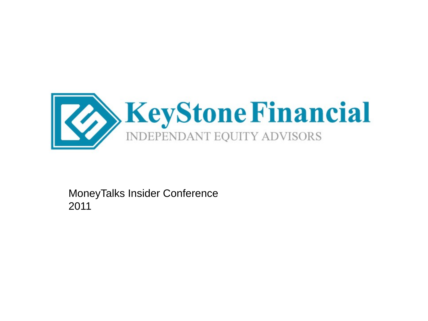

MoneyTalks Insider Conference 2011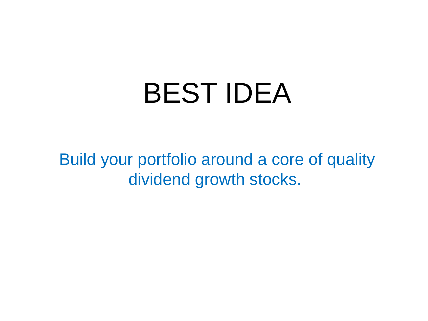# BEST IDEA

Build your portfolio around a core of quality dividend growth stocks.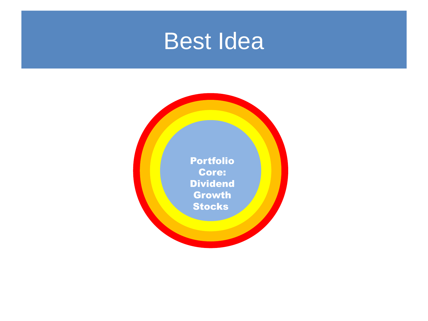## Best Idea

Portfolio Core: **Dividend Growth Stocks**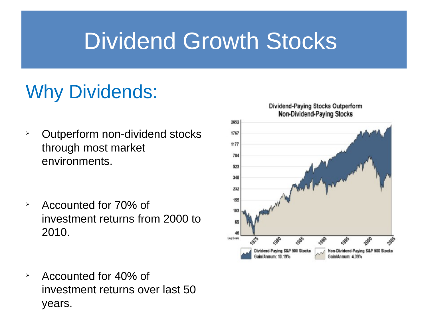## Dividend Growth Stocks

## Why Dividends:

- **Dutperform non-dividend stocks** through most market environments.
- $\rightarrow$  Accounted for 70% of investment returns from 2000 to 2010.
- $\rightarrow$  Accounted for 40% of investment returns over last 50 years.

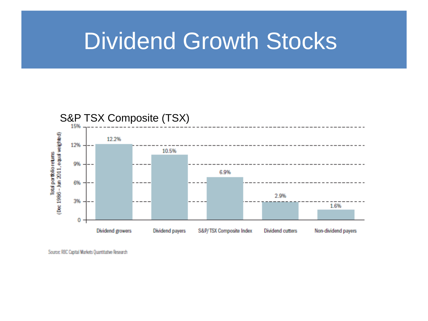## Dividend Growth Stocks



Source: RBC Capital Markets Quantitative Research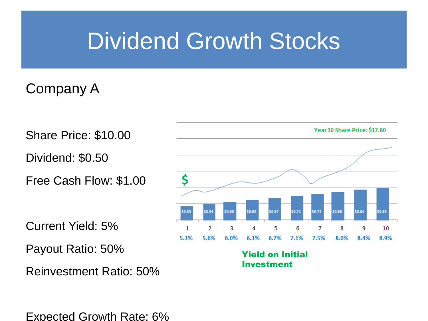## Dividend Growth Stocks

#### Company A

Share Price: \$10.00

Dividend: \$0.50

Free Cash Flow: \$1.00

Current Yield: 5%

Payout Ratio: 50%

Reinvestment Ratio: 50%

Expected Growth Rate: 6%



Yield on Initial Investment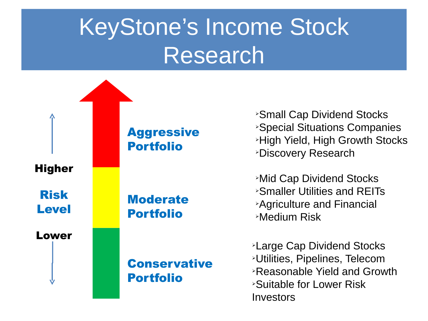# KeyStone's Income Stock Research



**Small Cap Dividend Stocks Special Situations Companies High Yield, High Growth Stocks** *<u>>Discovery Research</u>* 

**Mid Cap Dividend Stocks** <sup>Ø</sup>Smaller Utilities and REITs **Agriculture and Financial** <sup>Ø</sup>Medium Risk

**Example Cap Dividend Stocks** >Utilities, Pipelines, Telecom  $\triangle$ Reasonable Yield and Growth <sup>Ø</sup>Suitable for Lower Risk **Investors**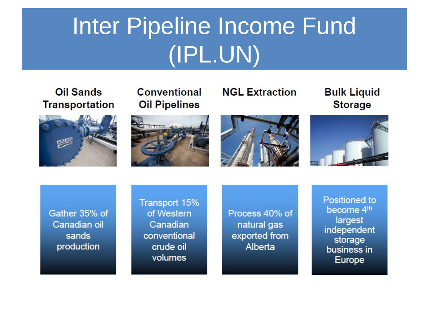# Inter Pipeline Income Fund (IPL.UN)

#### Oil Sands **Transportation**







**Bulk Liquid Storage** 







Gather 35% of Canadian oil sands production

Transport 15% of Western Canadian conventional crude oil volumes

Process 40% of natural gas exported from Alberta

Positioned to become 4<sup>th</sup> largest independent storage business in Europe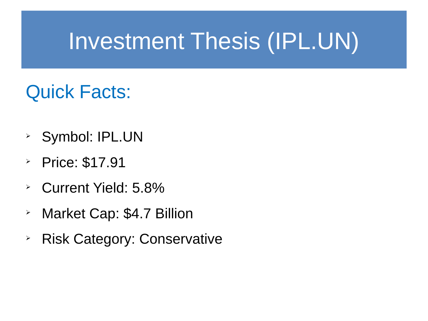#### Quick Facts:

- <sup>Ø</sup> Symbol: IPL.UN
- Price:  $$17.91$
- <sup>Ø</sup> Current Yield: 5.8%
- > Market Cap: \$4.7 Billion
- **EXECATE Risk Category: Conservative**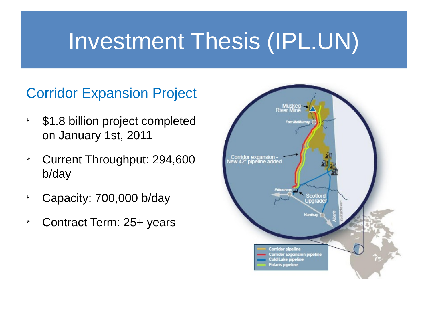#### Corridor Expansion Project

- $\rightarrow$  \$1.8 billion project completed on January 1st, 2011
- <sup>Ø</sup> Current Throughput: 294,600 b/day
- $\angle$  Capacity: 700,000 b/day
- $\ge$  Contract Term: 25+ years

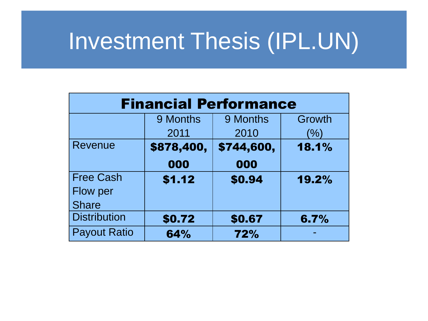| <b>Financial Performance</b> |            |            |        |  |  |  |
|------------------------------|------------|------------|--------|--|--|--|
|                              | 9 Months   | 9 Months   | Growth |  |  |  |
|                              | 2011       | 2010       | $(\%)$ |  |  |  |
| Revenue                      | \$878,400, | \$744,600, | 18.1%  |  |  |  |
|                              | 000        | 000        |        |  |  |  |
| <b>Free Cash</b>             | \$1.12     | \$0.94     | 19.2%  |  |  |  |
| Flow per                     |            |            |        |  |  |  |
| <b>Share</b>                 |            |            |        |  |  |  |
| <b>Distribution</b>          | \$0.72     | \$0.67     | 6.7%   |  |  |  |
| <b>Payout Ratio</b>          | 64%        | 72%        |        |  |  |  |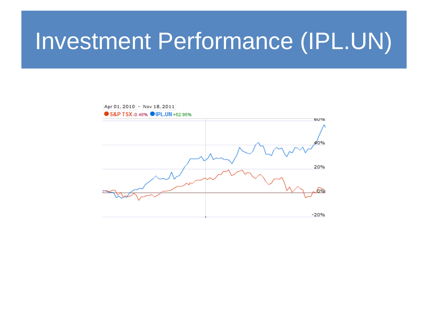## Investment Performance (IPL.UN)

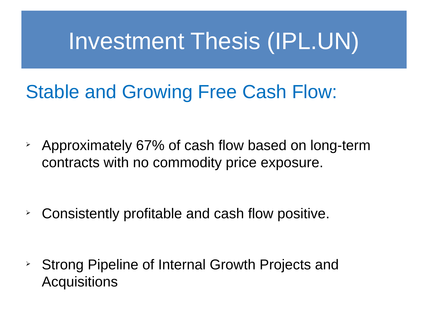#### Stable and Growing Free Cash Flow:

 $\geq$  Approximately 67% of cash flow based on long-term contracts with no commodity price exposure.

 $\geq$  Consistently profitable and cash flow positive.

**EXTE:** Strong Pipeline of Internal Growth Projects and **Acquisitions**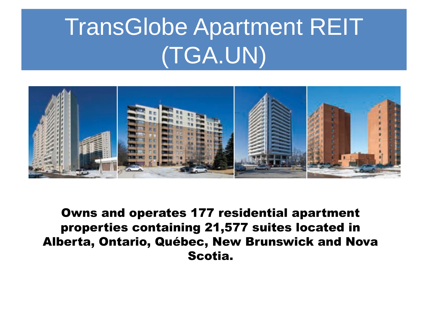# TransGlobe Apartment REIT (TGA.UN)



Owns and operates 177 residential apartment properties containing 21,577 suites located in Alberta, Ontario, Québec, New Brunswick and Nova Scotia.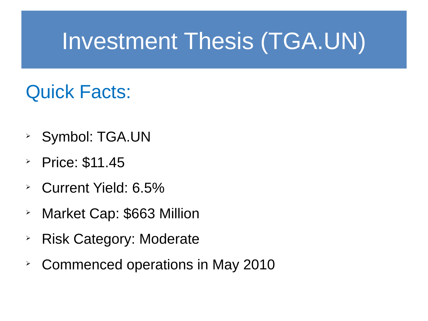## Quick Facts:

- <sup>Ø</sup> Symbol: TGA.UN
- Price:  $$11.45$
- <sup>Ø</sup> Current Yield: 6.5%
- > Market Cap: \$663 Million
- $\rightarrow$  Risk Category: Moderate
- $\geq$  Commenced operations in May 2010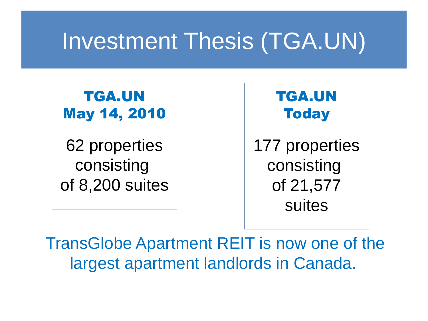TGA.UN May 14, 2010

62 properties consisting of 8,200 suites



TransGlobe Apartment REIT is now one of the largest apartment landlords in Canada.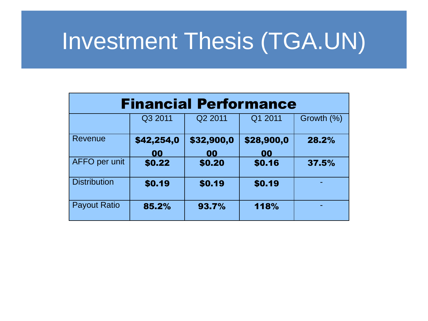| <b>Financial Performance</b> |                  |                  |                  |            |  |  |
|------------------------------|------------------|------------------|------------------|------------|--|--|
|                              | Q3 2011          | Q2 2011          | Q1 2011          | Growth (%) |  |  |
| Revenue                      | \$42,254,0<br>00 | \$32,900,0<br>00 | \$28,900,0<br>00 | 28.2%      |  |  |
| <b>AFFO</b> per unit         | \$0.22           | \$0.20           | \$0.16           | 37.5%      |  |  |
| <b>Distribution</b>          | \$0.19           | \$0.19           | \$0.19           |            |  |  |
| <b>Payout Ratio</b>          | 85.2%            | 93.7%            | 118%             |            |  |  |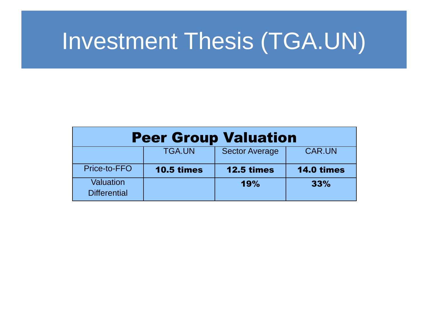| <b>Peer Group Valuation</b>      |                   |                   |                   |  |  |  |
|----------------------------------|-------------------|-------------------|-------------------|--|--|--|
|                                  | <b>TGA.UN</b>     | Sector Average    | <b>CAR.UN</b>     |  |  |  |
| Price-to-FFO                     | <b>10.5 times</b> | <b>12.5 times</b> | <b>14.0 times</b> |  |  |  |
| Valuation<br><b>Differential</b> |                   | 19%               | 33%               |  |  |  |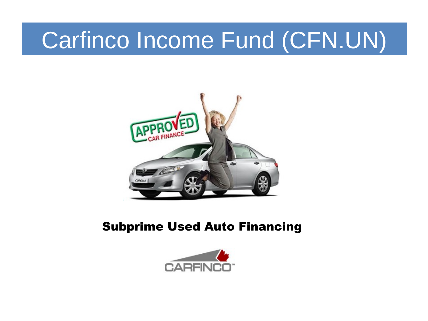## Carfinco Income Fund (CFN.UN)



#### Subprime Used Auto Financing

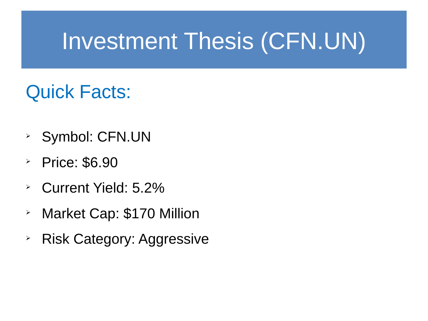## Investment Thesis (CFN.UN)

## Quick Facts:

- <sup>Ø</sup> Symbol: CFN.UN
- $\textdegree$  Price: \$6.90
- <sup>Ø</sup> Current Yield: 5.2%
- > Market Cap: \$170 Million
- $\geq$  Risk Category: Aggressive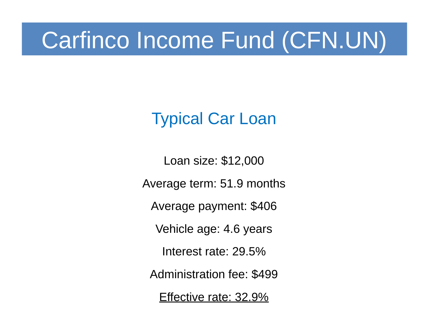## Carfinco Income Fund (CFN.UN)

#### Typical Car Loan

Loan size: \$12,000

Average term: 51.9 months

Average payment: \$406

Vehicle age: 4.6 years

Interest rate: 29.5%

Administration fee: \$499

Effective rate: 32.9%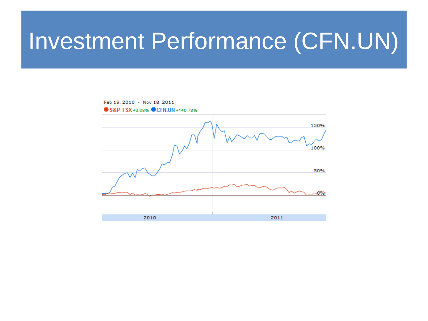## Investment Performance (CFN.UN)

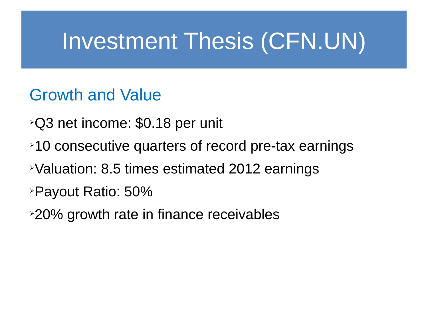## Investment Thesis (CFN.UN)

#### Growth and Value

- <sup>Ø</sup>Q3 net income: \$0.18 per unit
- $\geq 10$  consecutive quarters of record pre-tax earnings
- **EValuation: 8.5 times estimated 2012 earnings**
- <sup>Ø</sup>Payout Ratio: 50%
- $\geq$ 20% growth rate in finance receivables